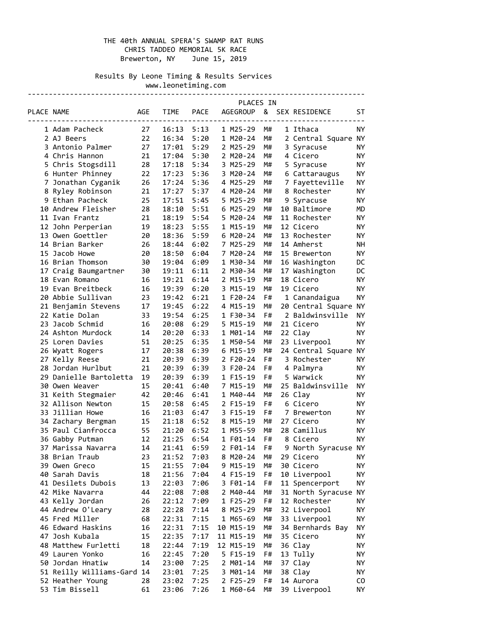# THE 40th ANNUAL SPERA'S SWAMP RAT RUNS CHRIS TADDEO MEMORIAL 5K RACE Brewerton, NY June 15, 2019

 Results By Leone Timing & Results Services www.leonetiming.com

|            |                            |     |             |             | PLACES IN       |    |                          |           |
|------------|----------------------------|-----|-------------|-------------|-----------------|----|--------------------------|-----------|
| PLACE NAME |                            | AGE | <b>TIME</b> | <b>PACE</b> | <b>AGEGROUP</b> | &  | SEX RESIDENCE            | ST        |
|            |                            |     |             |             |                 |    |                          |           |
|            | 1 Adam Pacheck             | 27  | 16:13       | 5:13        | 1 M25-29        | M# | 1 Ithaca                 | ΝY        |
|            | 2 AJ Beers                 | 22  | 16:34       | 5:20        | 1 M20-24        | M# | 2 Central Square NY      |           |
|            | 3 Antonio Palmer           | 27  | 17:01       | 5:29        | 2 M25-29        | M# | 3 Syracuse               | ΝY        |
|            | 4 Chris Hannon             | 21  | 17:04       | 5:30        | 2 M20-24        | M# | 4 Cicero                 | ΝY        |
|            | 5 Chris Stogsdill          | 28  | 17:18       | 5:34        | 3 M25-29        | M# | 5 Syracuse               | <b>NY</b> |
|            | 6 Hunter Phinney           | 22  | 17:23       | 5:36        | 3 M20-24        | M# | 6 Cattaraugus            | ΝY        |
|            | 7 Jonathan Cyganik         | 26  | 17:24       | 5:36        | 4 M25-29        | M# | 7 Fayetteville           | NY        |
|            | 8 Ryley Robinson           | 21  | 17:27       | 5:37        | 4 M20-24        | M# | 8 Rochester              | ΝY        |
|            | 9 Ethan Pacheck            | 25  | 17:51       | 5:45        | 5 M25-29        | M# | 9 Syracuse               | ΝY        |
|            | 10 Andrew Fleisher         | 28  | 18:10       | 5:51        | 6 M25-29        | M# | 10 Baltimore             | МD        |
|            | 11 Ivan Frantz             | 21  | 18:19       | 5:54        | 5 M20-24        | M# | 11 Rochester             | NY        |
|            | 12 John Perperian          | 19  | 18:23       | 5:55        | 1 M15-19        | M# | 12 Cicero                | ΝY        |
|            | 13 Owen Goettler           | 20  | 18:36       | 5:59        | 6 M20-24        | M# | 13 Rochester             | ΝY        |
|            | 14 Brian Barker            | 26  | 18:44       | 6:02        | 7 M25-29        | M# | 14 Amherst               | NΗ        |
|            | 15 Jacob Howe              | 20  | 18:50       | 6:04        | 7 M20-24        | M# | 15 Brewerton             | <b>NY</b> |
|            | 16 Brian Thomson           | 30  | 19:04       | 6:09        | 1 M30-34        | M# | 16 Washington            | DC        |
|            | 17 Craig Baumgartner       | 30  | 19:11       | 6:11        | 2 M30-34        | M# | 17 Washington            | DC        |
|            | 18 Evan Romano             | 16  | 19:21       | 6:14        | 2 M15-19        | M# | 18 Cicero                | ΝY        |
|            | 19 Evan Breitbeck          | 16  | 19:39       | 6:20        | 3 M15-19        | M# | 19 Cicero                | NY        |
|            | 20 Abbie Sullivan          | 23  | 19:42       | 6:21        | 1 F20-24        | F# | 1 Canandaigua            | ΝY        |
|            | 21 Benjamin Stevens        | 17  | 19:45       | 6:22        | 4 M15-19        | M# | 20 Central Square        | <b>NY</b> |
|            | 22 Katie Dolan             | 33  | 19:54       | 6:25        | 1 F30-34        | F# | 2 Baldwinsville          | <b>NY</b> |
|            | 23 Jacob Schmid            | 16  | 20:08       | 6:29        | 5 M15-19        | M# | 21 Cicero                | ΝY        |
|            | 24 Ashton Murdock          | 14  | 20:20       | 6:33        | 1 M01-14        | M# | 22 Clay                  | ΝY        |
|            | 25 Loren Davies            | 51  | 20:25       | 6:35        | 1 M50-54        | M# | 23 Liverpool             | ΝY        |
|            | 26 Wyatt Rogers            | 17  | 20:38       | 6:39        | 6 M15-19        | M# | 24 Central Square        | ΝY        |
|            | 27 Kelly Reese             | 21  | 20:39       | 6:39        | 2 F20-24        | F# | 3 Rochester              | NY        |
|            | 28 Jordan Hurlbut          | 21  | 20:39       | 6:39        | 3 F20-24        | F# | 4 Palmyra                | ΝY        |
|            | 29 Danielle Bartoletta     | 19  | 20:39       | 6:39        | 1 F15-19        | F# | 5 Warwick                | ΝY        |
|            | 30 Owen Weaver             | 15  | 20:41       | 6:40        | 7 M15-19        | M# | 25 Baldwinsville         | ΝY        |
|            | 31 Keith Stegmaier         | 42  | 20:46       | 6:41        | 1 M40-44        | M# | 26 Clay                  | ΝY        |
|            | 32 Allison Newton          | 15  | 20:58       | 6:45        | 2 F15-19        | F# | 6 Cicero                 | ΝY        |
|            | 33 Jillian Howe            | 16  | 21:03       | 6:47        | 3 F15-19        | F# |                          | ΝY        |
|            | 34 Zachary Bergman         | 15  | 21:18       |             | 8 M15-19        | M# | 7 Brewerton<br>27 Cicero | ΝY        |
|            |                            |     | 21:20       | 6:52        | 1 M55-59        |    |                          |           |
|            | 35 Paul Cianfrocca         | 55  |             | 6:52        |                 | M# | 28 Camillus              | NY        |
|            | 36 Gabby Putman            | 12  | 21:25       | 6:54        | 1 F01-14        | F# | 8 Cicero                 | ΝY        |
|            | 37 Marissa Navarra         | 14  | 21:41       | 6:59        | 2 F01-14        | F# | 9 North Syracuse NY      |           |
|            | 38 Brian Traub             | 23  | 21:52       | 7:03        | 8 M20-24        | M# | 29 Cicero                | NY        |
|            | 39 Owen Greco              | 15  | 21:55       | 7:04        | 9 M15-19        | M# | 30 Cicero                | ΝY        |
|            | 40 Sarah Davis             | 18  | 21:56       | 7:04        | 4 F15-19        | F# | 10 Liverpool             | ΝY        |
|            | 41 Desilets Dubois         | 13  | 22:03       | 7:06        | 3 F01-14        | F# | 11 Spencerport           | ΝY        |
|            | 42 Mike Navarra            | 44  | 22:08       | 7:08        | 2 M40-44        | M# | 31 North Syracuse        | ΝY        |
|            | 43 Kelly Jordan            | 26  | 22:12       | 7:09        | 1 F25-29        | F# | 12 Rochester             | NΥ        |
|            | 44 Andrew O'Leary          | 28  | 22:28       | 7:14        | 8 M25-29        | M# | 32 Liverpool             | ΝY        |
|            | 45 Fred Miller             | 68  | 22:31       | 7:15        | 1 M65-69        | M# | 33 Liverpool             | ΝY        |
|            | 46 Edward Haskins          | 16  | 22:31       | 7:15        | 10 M15-19       | M# | 34 Bernhards Bay         | ΝY        |
|            | 47 Josh Kubala             | 15  | 22:35       | 7:17        | 11 M15-19       | M# | 35 Cicero                | ΝY        |
|            | 48 Matthew Furletti        | 18  | 22:44       | 7:19        | 12 M15-19       | M# | 36 Clay                  | ΝY        |
|            | 49 Lauren Yonko            | 16  | 22:45       | 7:20        | 5 F15-19        | F# | 13 Tully                 | ΝY        |
|            | 50 Jordan Hnatiw           | 14  | 23:00       | 7:25        | 2 M01-14        | M# | 37 Clay                  | ΝY        |
|            | 51 Reilly Williams-Gard 14 |     | 23:01       | 7:25        | 3 M01-14        | M# | 38 Clay                  | ΝY        |
|            | 52 Heather Young           | 28  | 23:02       | 7:25        | 2 F25-29        | F# | 14 Aurora                | CO        |
|            | 53 Tim Bissell             | 61  | 23:06       | 7:26        | 1 M60-64        | M# | 39 Liverpool             | ΝY        |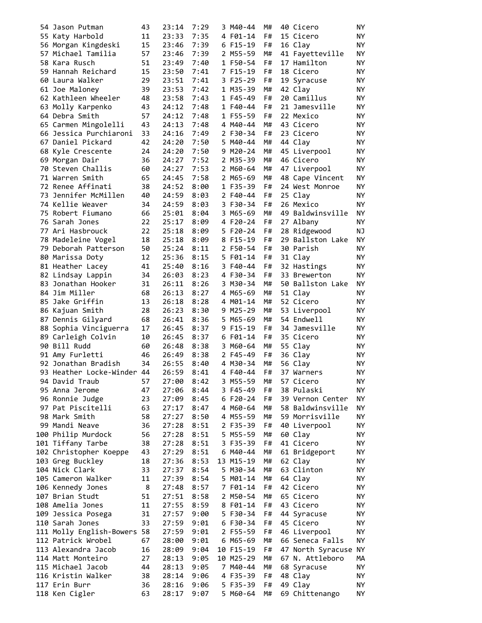| 54 Jason Putman             | 43 | 23:14 | 7:29 | 3 M40-44  | M# | 40 Cicero         | NY. |
|-----------------------------|----|-------|------|-----------|----|-------------------|-----|
| 55 Katy Harbold             | 11 | 23:33 | 7:35 | 4 F01-14  | F# | 15 Cicero         | ΝY  |
| 56 Morgan Kingdeski         | 15 | 23:46 | 7:39 | 6 F15-19  | F# | 16 Clay           | ΝY  |
| 57 Michael Tamilia          | 57 | 23:46 | 7:39 | 2 M55-59  | M# | 41 Fayetteville   | ΝY  |
| 58 Kara Rusch               | 51 | 23:49 | 7:40 | 1 F50-54  | F# | 17 Hamilton       | ΝY  |
| 59 Hannah Reichard          | 15 | 23:50 | 7:41 | 7 F15-19  | F# | 18 Cicero         | ΝY  |
| 60 Laura Walker             | 29 | 23:51 | 7:41 | 3 F25-29  | F# | 19 Syracuse       | ΝY  |
| 61 Joe Maloney              | 39 | 23:53 | 7:42 | 1 M35-39  | M# | 42 Clay           | ΝY  |
| 62 Kathleen Wheeler         | 48 | 23:58 | 7:43 | 1 F45-49  | F# | 20 Camillus       | NY  |
| 63 Molly Karpenko           | 43 | 24:12 | 7:48 | 1 F40-44  | F# | 21 Jamesville     | NY  |
| 64 Debra Smith              | 57 | 24:12 | 7:48 | 1 F55-59  | F# | 22 Mexico         | ΝY  |
| 65 Carmen Mingolelli        | 43 | 24:13 | 7:48 | 4 M40-44  | M# |                   | NY  |
|                             |    |       |      |           | F# | 43 Cicero         |     |
| 66 Jessica Purchiaroni      | 33 | 24:16 | 7:49 | 2 F30-34  |    | 23 Cicero         | NY  |
| 67 Daniel Pickard           | 42 | 24:20 | 7:50 | 5 M40-44  | M# | 44 Clay           | NY  |
| 68 Kyle Crescente           | 24 | 24:20 | 7:50 | 9 M20-24  | M# | 45 Liverpool      | ΝY  |
| 69 Morgan Dair              | 36 | 24:27 | 7:52 | 2 M35-39  | M# | 46 Cicero         | ΝY  |
| 70 Steven Challis           | 60 | 24:27 | 7:53 | 2 M60-64  | M# | 47 Liverpool      | ΝY  |
| 71 Warren Smith             | 65 | 24:45 | 7:58 | 2 M65-69  | M# | 48 Cape Vincent   | NY  |
| 72 Renee Affinati           | 38 | 24:52 | 8:00 | 1 F35-39  | F# | 24 West Monroe    | ΝY  |
| 73 Jennifer McMillen        | 40 | 24:59 | 8:03 | 2 F40-44  | F# | 25 Clay           | ΝY  |
| 74 Kellie Weaver            | 34 | 24:59 | 8:03 | 3 F30-34  | F# | 26 Mexico         | NY  |
| 75 Robert Fiumano           | 66 | 25:01 | 8:04 | 3 M65-69  | M# | 49 Baldwinsville  | ΝY  |
| 76 Sarah Jones              | 22 | 25:17 | 8:09 | 4 F20-24  | F# | 27 Albany         | ΝY  |
| 77 Ari Hasbrouck            | 22 | 25:18 | 8:09 | 5 F20-24  | F# | 28 Ridgewood      | ΝJ  |
| 78 Madeleine Vogel          | 18 | 25:18 | 8:09 | 8 F15-19  | F# | 29 Ballston Lake  | ΝY  |
| 79 Deborah Patterson        | 50 | 25:24 | 8:11 | 2 F50-54  | F# | 30 Parish         | ΝY  |
| 80 Marissa Doty             | 12 | 25:36 | 8:15 | 5 F01-14  | F# | 31 Clay           | ΝY  |
| 81 Heather Lacey            | 41 | 25:40 | 8:16 | 3 F40-44  | F# | 32 Hastings       | NY  |
| 82 Lindsay Lappin           | 34 | 26:03 | 8:23 | 4 F30-34  | F# | 33 Brewerton      | NY  |
| 83 Jonathan Hooker          | 31 | 26:11 | 8:26 | 3 M30-34  | M# | 50 Ballston Lake  | NY  |
| 84 Jim Miller               | 68 | 26:13 | 8:27 | 4 M65-69  | M# | 51 Clay           | ΝY  |
| 85 Jake Griffin             | 13 | 26:18 | 8:28 | 4 M01-14  | M# | 52 Cicero         | ΝY  |
| 86 Kajuan Smith             | 28 |       |      | 9 M25-29  | M# | 53 Liverpool      | ΝY  |
|                             |    | 26:23 | 8:30 |           |    |                   |     |
| 87 Dennis Gilyard           | 68 | 26:41 | 8:36 | 5 M65-69  | M# | 54 Endwell        | NY  |
| 88 Sophia Vinciguerra       | 17 | 26:45 | 8:37 | 9 F15-19  | F# | 34 Jamesville     | ΝY  |
| 89 Carleigh Colvin          | 10 | 26:45 | 8:37 | 6 F01-14  | F# | 35 Cicero         | ΝY  |
| 90 Bill Rudd                | 60 | 26:48 | 8:38 | 3 M60-64  | M# | 55 Clay           | ΝY  |
| 91 Amy Furletti             | 46 | 26:49 | 8:38 | 2 F45-49  | F# | 36 Clay           | ΝY  |
| 92 Jonathan Bradish         | 34 | 26:55 | 8:40 | 4 M30-34  | M# | 56 Clay           | ΝY  |
| 93 Heather Locke-Winder 44  |    | 26:59 | 8:41 | 4 F40-44  | F# | 37 Warners        | ΝY  |
| 94 David Traub              | 57 | 27:00 | 8:42 | 3 M55-59  | M# | 57 Cicero         | NY  |
| 95 Anna Jerome              | 47 | 27:06 | 8:44 | 3 F45-49  | F# | 38 Pulaski        | NΥ  |
| 96 Ronnie Judge             | 23 | 27:09 | 8:45 | 6 F20-24  | F# | 39 Vernon Center  | NΥ  |
| 97 Pat Piscitelli           | 63 | 27:17 | 8:47 | 4 M60-64  | M# | 58 Baldwinsville  | NΥ  |
| 98 Mark Smith               | 58 | 27:27 | 8:50 | 4 M55-59  | M# | 59 Morrisville    | ΝY  |
| 99 Mandi Neave              | 36 | 27:28 | 8:51 | 2 F35-39  | F# | 40 Liverpool      | NΥ  |
| 100 Philip Murdock          | 56 | 27:28 | 8:51 | 5 M55-59  | M# | 60 Clay           | ΝY  |
| 101 Tiffany Tarbe           | 38 | 27:28 | 8:51 | 3 F35-39  | F# | 41 Cicero         | NY. |
| 102 Christopher Koeppe      | 43 | 27:29 | 8:51 | 6 M40-44  | M# | 61 Bridgeport     | ΝY  |
| 103 Greg Buckley            | 18 | 27:36 | 8:53 | 13 M15-19 | M# | 62 Clay           | ΝY  |
| 104 Nick Clark              | 33 | 27:37 | 8:54 | 5 M30-34  | M# | 63 Clinton        | ΝY  |
| 105 Cameron Walker          | 11 | 27:39 | 8:54 | 5 M01-14  | M# | 64 Clay           | NY. |
| 106 Kennedy Jones           | 8  | 27:48 | 8:57 | 7 F01-14  | F# | 42 Cicero         | ΝY  |
| 107 Brian Studt             | 51 | 27:51 | 8:58 | 2 M50-54  | M# | 65 Cicero         | ΝY  |
|                             | 11 |       |      |           |    |                   |     |
| 108 Amelia Jones            |    | 27:55 | 8:59 | 8 F01-14  | F# | 43 Cicero         | ΝY  |
| 109 Jessica Posega          | 31 | 27:57 | 9:00 | 5 F30-34  | F# | 44 Syracuse       | ΝY  |
| 110 Sarah Jones             | 33 | 27:59 | 9:01 | 6 F30-34  | F# | 45 Cicero         | NY. |
| 111 Molly English-Bowers 58 |    | 27:59 | 9:01 | 2 F55-59  | F# | 46 Liverpool      | NY. |
| 112 Patrick Wrobel          | 67 | 28:00 | 9:01 | 6 M65-69  | M# | 66 Seneca Falls   | NΥ  |
| 113 Alexandra Jacob         | 16 | 28:09 | 9:04 | 10 F15-19 | F# | 47 North Syracuse | ΝY  |
| 114 Matt Monteiro           | 27 | 28:13 | 9:05 | 10 M25-29 | M# | 67 N. Attleboro   | MА  |
| 115 Michael Jacob           | 44 | 28:13 | 9:05 | 7 M40-44  | M# | 68 Syracuse       | NΥ  |
| 116 Kristin Walker          | 38 | 28:14 | 9:06 | 4 F35-39  | F# | 48 Clay           | NΥ  |
| 117 Erin Burr               | 36 | 28:16 | 9:06 | 5 F35-39  | F# | 49 Clay           | ΝY  |
| 118 Ken Cigler              | 63 | 28:17 | 9:07 | 5 M60-64  | M# | 69 Chittenango    | ΝY  |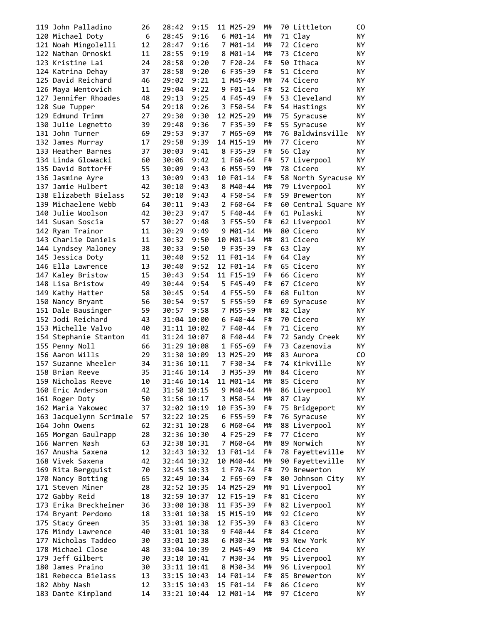| 119 John Palladino      | 26 | 28:42       | 9:15        | 11 M25-29 | M# | 70 Littleton                       | CO.       |
|-------------------------|----|-------------|-------------|-----------|----|------------------------------------|-----------|
| 120 Michael Doty        | 6  | 28:45       | 9:16        | 6 M01-14  | M# | 71 Clay                            | NY.       |
| 121 Noah Mingolelli     | 12 | 28:47       | 9:16        | 7 M01-14  | M# | 72 Cicero                          | NY.       |
| 122 Nathan Ornoski      | 11 | 28:55       | 9:19        | 8 M01-14  | M# | 73 Cicero                          | ΝY        |
| 123 Kristine Lai        | 24 | 28:58       | 9:20        | 7 F20-24  | F# | 50 Ithaca                          | ΝY        |
| 124 Katrina Dehay       | 37 | 28:58       | 9:20        | 6 F35-39  | F# | 51 Cicero                          | ΝY        |
| 125 David Reichard      | 46 | 29:02       | 9:21        | 1 M45-49  | M# | 74 Cicero                          | ΝY        |
| 126 Maya Wentovich      | 11 | 29:04       | 9:22        | 9 F01-14  | F# | 52 Cicero                          | NY.       |
| 127 Jennifer Rhoades    | 48 | 29:13       | 9:25        | 4 F45-49  | F# | 53 Cleveland                       | ΝY        |
| 128 Sue Tupper          | 54 | 29:18       | 9:26        | 3 F50-54  | F# | 54 Hastings                        | ΝY        |
| 129 Edmund Trimm        | 27 | 29:30       | 9:30        | 12 M25-29 | M# | 75 Syracuse                        | ΝY        |
| 130 Julie Legnetto      | 39 | 29:48       | 9:36        | 7 F35-39  | F# | 55 Syracuse                        | ΝY        |
| 131 John Turner         | 69 | 29:53       | 9:37        | 7 M65-69  | M# | 76 Baldwinsville                   | ΝY        |
| 132 James Murray        | 17 | 29:58       | 9:39        | 14 M15-19 | M# | 77 Cicero                          | ΝY        |
| 133 Heather Barnes      | 37 | 30:03       | 9:41        | 8 F35-39  | F# | 56 Clay                            | ΝY        |
| 134 Linda Glowacki      | 60 | 30:06       | 9:42        | 1 F60-64  | F# | 57 Liverpool                       | NY.       |
| 135 David Bottorff      | 55 | 30:09       | 9:43        | 6 M55-59  | M# | 78 Cicero                          | <b>NY</b> |
| 136 Jasmine Ayre        | 13 | 30:09       | 9:43        | 10 F01-14 | F# | 58 North Syracuse NY               |           |
| 137 Jamie Hulbert       | 42 | 30:10       | 9:43        | 8 M40-44  | M# | 79 Liverpool                       | <b>NY</b> |
| 138 Elizabeth Bielass   | 52 | 30:10       | 9:43        | 4 F50-54  | F# | 59 Brewerton                       | NY.       |
| 139 Michaelene Webb     | 64 | 30:11       | 9:43        | 2 F60-64  | F# |                                    |           |
| 140 Julie Woolson       | 42 | 30:23       | 9:47        | 5 F40-44  | F# | 60 Central Square NY<br>61 Pulaski | NY.       |
|                         |    | 30:27       |             |           |    |                                    |           |
| 141 Susan Soscia        | 57 |             | 9:48        | 3 F55-59  | F# | 62 Liverpool                       | NY.       |
| 142 Ryan Trainor        | 11 | 30:29       | 9:49        | 9 M01-14  | M# | 80 Cicero                          | NY.       |
| 143 Charlie Daniels     | 11 | 30:32       | 9:50        | 10 M01-14 | M# | 81 Cicero                          | ΝY        |
| 144 Lyndsey Maloney     | 38 | 30:33       | 9:50        | 9 F35-39  | F# | 63 Clay                            | ΝY        |
| 145 Jessica Doty        | 11 | 30:40       | 9:52        | 11 F01-14 | F# | 64 Clay                            | ΝY        |
| 146 Ella Lawrence       | 13 | 30:40       | 9:52        | 12 F01-14 | F# | 65 Cicero                          | ΝY        |
| 147 Kaley Bristow       | 15 | 30:43       | 9:54        | 11 F15-19 | F# | 66 Cicero                          | ΝY        |
| 148 Lisa Bristow        | 49 | 30:44       | 9:54        | 5 F45-49  | F# | 67 Cicero                          | ΝY        |
| 149 Kathy Hatter        | 58 | 30:45       | 9:54        | 4 F55-59  | F# | 68 Fulton                          | ΝY        |
| 150 Nancy Bryant        | 56 | 30:54       | 9:57        | 5 F55-59  | F# | 69 Syracuse                        | NY.       |
| 151 Dale Bausinger      | 59 | 30:57       | 9:58        | 7 M55-59  | M# | 82 Clay                            | ΝY        |
| 152 Jodi Reichard       | 43 | 31:04 10:00 |             | 6 F40-44  | F# | 70 Cicero                          | NY.       |
| 153 Michelle Valvo      | 40 | 31:11 10:02 |             | 7 F40-44  | F# | 71 Cicero                          | ΝY        |
| 154 Stephanie Stanton   | 41 | 31:24 10:07 |             | 8 F40-44  | F# | 72 Sandy Creek                     | ΝY        |
| 155 Penny Noll          | 66 | 31:29 10:08 |             | 1 F65-69  | F# | 73 Cazenovia                       | ΝY        |
| 156 Aaron Wills         | 29 | 31:30 10:09 |             | 13 M25-29 | M# | 83 Aurora                          | CO.       |
| 157 Suzanne Wheeler     | 34 | 31:36 10:11 |             | 7 F30-34  | F# | 74 Kirkville                       | ΝY        |
| 158 Brian Reeve         | 35 | 31:46 10:14 |             | 3 M35-39  | M# | 84 Cicero                          | <b>NY</b> |
| 159 Nicholas Reeve      | 10 | 31:46 10:14 |             | 11 M01-14 | M# | 85 Cicero                          | NY        |
| 160 Eric Anderson       | 42 | 31:50 10:15 |             | 9 M40-44  | M# | 86 Liverpool                       | ΝY        |
| 161 Roger Doty          | 50 | 31:56 10:17 |             | 3 M50-54  | M# | 87 Clay                            | ΝY        |
| 162 Maria Yakowec       | 37 | 32:02 10:19 |             | 10 F35-39 | F# | 75 Bridgeport                      | ΝY        |
| 163 Jacquelynn Scrimale | 57 | 32:22 10:25 |             | 6 F55-59  | F# | 76 Syracuse                        | ΝY        |
| 164 John Owens          | 62 | 32:31 10:28 |             | 6 M60-64  | M# | 88 Liverpool                       | NΥ        |
| 165 Morgan Gaulrapp     | 28 | 32:36 10:30 |             | 4 F25-29  | F# | 77 Cicero                          | ΝY        |
| 166 Warren Nash         | 63 | 32:38 10:31 |             | 7 M60-64  | M# | 89 Norwich                         | ΝY        |
| 167 Anusha Saxena       | 12 | 32:43 10:32 |             | 13 F01-14 | F# | 78 Fayetteville                    | ΝY        |
| 168 Vivek Saxena        | 42 | 32:44 10:32 |             | 10 M40-44 | M# | 90 Fayetteville                    | ΝY        |
| 169 Rita Bergquist      | 70 | 32:45 10:33 |             | 1 F70-74  | F# | 79 Brewerton                       | ΝY        |
| 170 Nancy Botting       | 65 | 32:49 10:34 |             | 2 F65-69  | F# | 80 Johnson City                    | NY.       |
| 171 Steven Miner        | 28 | 32:52 10:35 |             | 14 M25-29 | M# | 91 Liverpool                       | ΝY        |
| 172 Gabby Reid          | 18 | 32:59 10:37 |             | 12 F15-19 | F# | 81 Cicero                          | NΥ        |
| 173 Erika Breckheimer   | 36 | 33:00 10:38 |             | 11 F35-39 | F# | 82 Liverpool                       | ΝY        |
| 174 Bryant Perdomo      | 18 | 33:01 10:38 |             | 15 M15-19 | M# | 92 Cicero                          | ΝY        |
| 175 Stacy Green         | 35 | 33:01 10:38 |             | 12 F35-39 | F# | 83 Cicero                          | NY.       |
| 176 Mindy Lawrence      | 40 | 33:01 10:38 |             | 9 F40-44  | F# | 84 Cicero                          | ΝY        |
| 177 Nicholas Taddeo     | 30 | 33:01 10:38 |             | 6 M30-34  | M# | 93 New York                        | NY.       |
| 178 Michael Close       | 48 | 33:04 10:39 |             | 2 M45-49  | M# | 94 Cicero                          | NY.       |
| 179 Jeff Gilbert        | 30 | 33:10 10:41 |             | 7 M30-34  | M# | 95 Liverpool                       | NY.       |
| 180 James Praino        | 30 | 33:11 10:41 |             | 8 M30-34  | M# | 96 Liverpool                       | NΥ        |
| 181 Rebecca Bielass     | 13 | 33:15 10:43 |             | 14 F01-14 | F# | 85 Brewerton                       | ΝY        |
| 182 Abby Nash           | 12 | 33:15 10:43 |             | 15 F01-14 | F# | 86 Cicero                          | ΝY        |
| 183 Dante Kimpland      | 14 |             | 33:21 10:44 | 12 M01-14 | M# | 97 Cicero                          | ΝY        |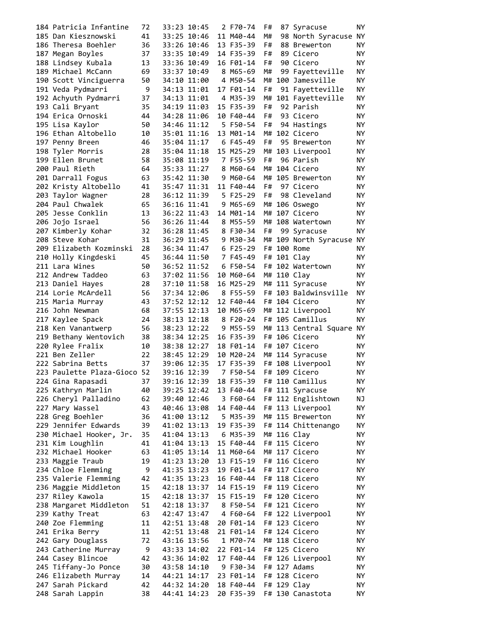| 184 Patricia Infantine      | 72 | 33:23 10:45 |             | 2 F70-74  | F# | 87 Syracuse                  | NY.       |
|-----------------------------|----|-------------|-------------|-----------|----|------------------------------|-----------|
| 185 Dan Kiesznowski         | 41 |             | 33:25 10:46 | 11 M40-44 | M# | 98 North Syracuse NY         |           |
| 186 Theresa Boehler         | 36 |             | 33:26 10:46 | 13 F35-39 | F# | 88 Brewerton                 | <b>NY</b> |
| 187 Megan Boyles            | 37 | 33:35 10:49 |             | 14 F35-39 | F# | 89 Cicero                    | NY        |
| 188 Lindsey Kubala          | 13 | 33:36 10:49 |             | 16 F01-14 | F# | 90 Cicero                    | NY.       |
| 189 Michael McCann          | 69 | 33:37 10:49 |             | 8 M65-69  | M# | 99 Fayetteville              | ΝY        |
| 190 Scott Vinciguerra       | 50 | 34:10 11:00 |             | 4 M50-54  |    | M# 100 Jamesville            | ΝY        |
| 191 Veda Pydmarri           | 9  |             | 34:13 11:01 | 17 F01-14 | F# | 91 Fayetteville              | NY.       |
| 192 Achyuth Pydmarri        | 37 | 34:13 11:01 |             | 4 M35-39  |    | M# 101 Fayetteville          | <b>NY</b> |
| 193 Cali Bryant             | 35 |             | 34:19 11:03 | 15 F35-39 | F# | 92 Parish                    | ΝY        |
| 194 Erica Ornoski           | 44 |             | 34:28 11:06 | 10 F40-44 | F# | 93 Cicero                    | ΝY        |
|                             | 50 |             | 34:46 11:12 | 5 F50-54  | F# |                              | ΝY        |
| 195 Lisa Kaylor             |    |             |             |           |    | 94 Hastings<br>M# 102 Cicero |           |
| 196 Ethan Altobello         | 10 |             | 35:01 11:16 | 13 M01-14 |    |                              | ΝY        |
| 197 Penny Breen             | 46 |             | 35:04 11:17 | 6 F45-49  | F# | 95 Brewerton                 | ΝY        |
| 198 Tyler Morris            | 28 | 35:04 11:18 |             | 15 M25-29 |    | M# 103 Liverpool             | ΝY        |
| 199 Ellen Brunet            | 58 | 35:08 11:19 |             | 7 F55-59  | F# | 96 Parish                    | NY.       |
| 200 Paul Rieth              | 64 | 35:33 11:27 |             | 8 M60-64  |    | M# 104 Cicero                | <b>NY</b> |
| 201 Darrall Fogus           | 63 | 35:42 11:30 |             | 9 M60-64  |    | M# 105 Brewerton             | <b>NY</b> |
| 202 Kristy Altobello        | 41 | 35:47 11:31 |             | 11 F40-44 | F# | 97 Cicero                    | <b>NY</b> |
| 203 Taylor Wagner           | 28 | 36:12 11:39 |             | 5 F25-29  | F# | 98 Cleveland                 | NY        |
| 204 Paul Chwalek            | 65 | 36:16 11:41 |             | 9 M65-69  |    | M# 106 Oswego                | ΝY        |
| 205 Jesse Conklin           | 13 | 36:22 11:43 |             | 14 M01-14 |    | M# 107 Cicero                | ΝY        |
| 206 Jojo Israel             | 56 | 36:26 11:44 |             | 8 M55-59  |    | M# 108 Watertown             | NY.       |
| 207 Kimberly Kohar          | 32 | 36:28 11:45 |             | 8 F30-34  | F# | 99 Syracuse                  | NY        |
| 208 Steve Kohar             | 31 | 36:29 11:45 |             | 9 M30-34  |    | M# 109 North Syracuse NY     |           |
| 209 Elizabeth Kozminski     | 28 |             | 36:34 11:47 | 6 F25-29  |    | F# 100 Rome                  | <b>NY</b> |
| 210 Holly Kingdeski         | 45 |             | 36:44 11:50 | 7 F45-49  |    | F# 101 Clay                  | ΝY        |
| 211 Lara Wines              | 50 |             | 36:52 11:52 | 6 F50-54  |    | F# 102 Watertown             | ΝY        |
| 212 Andrew Taddeo           | 63 |             | 37:02 11:56 | 10 M60-64 |    | M# 110 Clay                  | ΝY        |
| 213 Daniel Hayes            | 28 | 37:10 11:58 |             | 16 M25-29 |    | M# 111 Syracuse              | ΝY        |
| 214 Lorie McArdell          | 56 | 37:34 12:06 |             | 8 F55-59  |    | F# 103 Baldwinsville         | ΝY        |
| 215 Maria Murray            | 43 |             | 37:52 12:12 | 12 F40-44 |    | F# 104 Cicero                | NY.       |
|                             |    |             |             |           |    |                              |           |
| 216 John Newman             | 68 | 37:55 12:13 |             | 10 M65-69 |    | M# 112 Liverpool             | ΝY        |
| 217 Kaylee Spack            | 24 | 38:13 12:18 |             | 8 F20-24  |    | F# 105 Camillus              | ΝY        |
| 218 Ken Vanantwerp          | 56 | 38:23 12:22 |             | 9 M55-59  |    | M# 113 Central Square NY     |           |
| 219 Bethany Wentovich       | 38 | 38:34 12:25 |             | 16 F35-39 |    | F# 106 Cicero                | NY.       |
| 220 Rylee Fralix            | 10 | 38:38 12:27 |             | 18 F01-14 |    | F# 107 Cicero                | NY.       |
| 221 Ben Zeller              | 22 | 38:45 12:29 |             | 10 M20-24 |    | M# 114 Syracuse              | NY.       |
| 222 Sabrina Betts           | 37 | 39:06 12:35 |             | 17 F35-39 |    | F# 108 Liverpool             | ΝY        |
| 223 Paulette Plaza-Gioco 52 |    | 39:16 12:39 |             | 7 F50-54  |    | F# 109 Cicero                | <b>NY</b> |
| 224 Gina Rapasadi           | 37 | 39:16 12:39 |             | 18 F35-39 |    | F# 110 Camillus              | NY        |
| 225 Kathryn Marlin          | 40 |             | 39:25 12:42 | 13 F40-44 |    | F# 111 Syracuse              | NY        |
| 226 Cheryl Palladino        | 62 | 39:40 12:46 |             | 3 F60-64  |    | F# 112 Englishtown           | ΝJ        |
| 227 Mary Wassel             | 43 | 40:46 13:08 |             | 14 F40-44 |    | F# 113 Liverpool             | ΝY        |
| 228 Greg Boehler            | 36 | 41:00 13:12 |             | 5 M35-39  |    | M# 115 Brewerton             | ΝY        |
| 229 Jennifer Edwards        | 39 | 41:02 13:13 |             | 19 F35-39 |    | F# 114 Chittenango           | NΥ        |
| 230 Michael Hooker, Jr.     | 35 | 41:04 13:13 |             | 6 M35-39  |    | M# 116 Clay                  | ΝY        |
| 231 Kim Loughlin            | 41 | 41:04 13:13 |             | 15 F40-44 |    | F# 115 Cicero                | ΝY        |
| 232 Michael Hooker          | 63 | 41:05 13:14 |             | 11 M60-64 |    | M# 117 Cicero                | NY.       |
| 233 Maggie Traub            | 19 | 41:23 13:20 |             | 13 F15-19 |    | F# 116 Cicero                | NY.       |
| 234 Chloe Flemming          | 9  | 41:35 13:23 |             | 19 F01-14 |    | F# 117 Cicero                | NY.       |
| 235 Valerie Flemming        | 42 | 41:35 13:23 |             | 16 F40-44 |    | F# 118 Cicero                | NY.       |
| 236 Maggie Middleton        | 15 | 42:18 13:37 |             | 14 F15-19 |    | F# 119 Cicero                | NY.       |
| 237 Riley Kawola            | 15 | 42:18 13:37 |             | 15 F15-19 |    | F# 120 Cicero                | ΝY        |
|                             | 51 |             |             |           |    |                              |           |
| 238 Margaret Middleton      |    | 42:18 13:37 |             | 8 F50-54  |    | F# 121 Cicero                | ΝY        |
| 239 Kathy Treat             | 63 | 42:47 13:47 |             | 4 F60-64  |    | F# 122 Liverpool             | NΥ        |
| 240 Zoe Flemming            | 11 | 42:51 13:48 |             | 20 F01-14 |    | F# 123 Cicero                | NY.       |
| 241 Erika Berry             | 11 | 42:51 13:48 |             | 21 F01-14 |    | F# 124 Cicero                | NY.       |
| 242 Gary Douglass           | 72 | 43:16 13:56 |             | 1 M70-74  |    | M# 118 Cicero                | NY.       |
| 243 Catherine Murray        | 9  | 43:33 14:02 |             | 22 F01-14 |    | F# 125 Cicero                | ΝY        |
| 244 Casey Blincoe           | 42 | 43:36 14:02 |             | 17 F40-44 |    | F# 126 Liverpool             | <b>NY</b> |
| 245 Tiffany-Jo Ponce        | 30 | 43:58 14:10 |             | 9 F30-34  |    | F# 127 Adams                 | ΝY        |
|                             |    |             |             |           |    |                              |           |
| 246 Elizabeth Murray        | 14 | 44:21 14:17 |             | 23 F01-14 |    | F# 128 Cicero                | NΥ        |
| 247 Sarah Pickard           | 42 | 44:32 14:20 |             | 18 F40-44 |    | F# 129 Clay                  | NΥ        |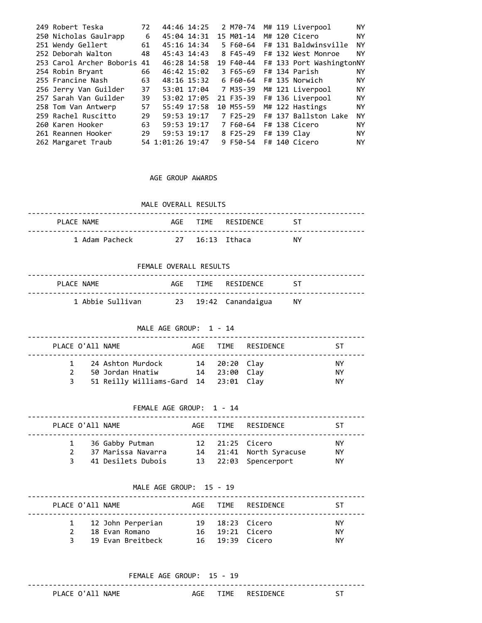| 249 Robert Teska         | 72 |                  | 44:46 14:25 | 2 M70-74  |  | M# 119 Liverpool                   | ΝY        |
|--------------------------|----|------------------|-------------|-----------|--|------------------------------------|-----------|
| 250 Nicholas Gaulrapp    | 6  | 45:04 14:31      |             | 15 M01-14 |  | M# 120 Cicero                      | ΝY        |
| 251 Wendy Gellert        | 61 | 45:16 14:34      |             | 5 F60-64  |  | F# 131 Baldwinsville               | ΝY        |
| 252 Deborah Walton       | 48 | 45:43 14:43      |             | 8 F45-49  |  | F# 132 West Monroe                 | ΝY        |
| 253 Carol Archer Boboris | 41 |                  | 46:28 14:58 |           |  | 19 F40-44 F# 133 Port WashingtonNY |           |
| 254 Robin Bryant         | 66 |                  | 46:42 15:02 | 3 F65-69  |  | F# 134 Parish                      | ΝY        |
| 255 Francine Nash        | 63 |                  | 48:16 15:32 | 6 F60-64  |  | F# 135 Norwich                     | ΝY        |
| 256 Jerry Van Guilder    | 37 | 53:01 17:04      |             | 7 M35-39  |  | M# 121 Liverpool                   | <b>NY</b> |
| 257 Sarah Van Guilder    | 39 |                  | 53:02 17:05 |           |  | 21 F35-39 F# 136 Liverpool         | ΝY        |
| 258 Tom Van Antwerp      | 57 |                  | 55:49 17:58 | 10 M55-59 |  | M# 122 Hastings                    | <b>NY</b> |
| 259 Rachel Ruscitto      | 29 | 59:53 19:17      |             |           |  | 7 F25-29 F# 137 Ballston Lake      | ΝY        |
| 260 Karen Hooker         | 63 | 59:53 19:17      |             | 7 F60-64  |  | F# 138 Cicero                      | ΝY        |
| 261 Reannen Hooker       | 29 | 59:53 19:17      |             | 8 F25-29  |  | $F# 139$ Clay                      | ΝY        |
| 262 Margaret Traub       |    | 54 1:01:26 19:47 |             | 9 F50-54  |  | F# 140 Cicero                      | ΝY        |

### AGE GROUP AWARDS

|                | MALE OVERALL RESULTS |                                    |    |
|----------------|----------------------|------------------------------------|----|
| PLACE NAME     |                      | AGF TTMF RESTDENCE<br><b>ST 25</b> |    |
| 1 Adam Pacheck | 27 16:13 Ithaca      |                                    | NY |

FEMALE OVERALL RESULTS

| PLACE NAME |  | AGE TIME RESIDENCE ST |  |
|------------|--|-----------------------|--|
|            |  |                       |  |

MALE AGE GROUP: 1 - 14

| PLACE O'All NAME |                                                                                  |                                | AGE TIME RESIDENCE | -ST            |
|------------------|----------------------------------------------------------------------------------|--------------------------------|--------------------|----------------|
| $\mathcal{P}$    | 1 24 Ashton Murdock<br>50 Jordan Hnatiw<br>51 Reilly Williams-Gard 14 23:01 Clay | 14 20:20 Clay<br>14 23:00 Clay |                    | ΝY<br>ΝY<br>ΝY |

FEMALE AGE GROUP: 1 - 14

|   | PLACE O'All NAME |                                       |  | AGE TIME RESIDENCE                         | SТ              |
|---|------------------|---------------------------------------|--|--------------------------------------------|-----------------|
|   |                  | 36 Gabby Putman<br>37 Marissa Navarra |  | 12 21:25 Cicero<br>14 21:41 North Syracuse | <b>NY</b><br>ΝY |
| 3 |                  | 41 Desilets Dubois                    |  | 13 22:03 Spencerport                       | NY.             |

# MALE AGE GROUP: 15 - 19

| PLACE O'All NAME |  |                     |  |                   | AGE TIME RESIDENCE | КT  |
|------------------|--|---------------------|--|-------------------|--------------------|-----|
|                  |  | 1 12 John Perperian |  | 19 18:23 Cicero   |                    | NY. |
|                  |  | 18 Evan Romano      |  | 16  19:21  Cicero |                    | NY. |
| 3                |  | 19 Evan Breitheck   |  | 16 19:39 Cicero   |                    | NY. |

FEMALE AGE GROUP: 15 - 19

PLACE O'All NAME AGE TIME RESIDENCE ST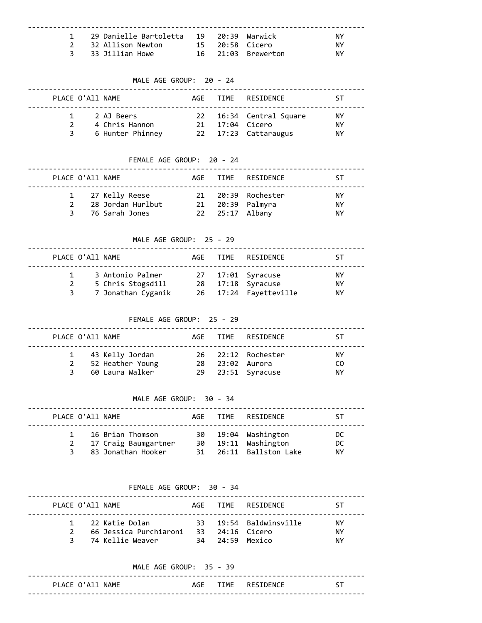| 1 29 Danielle Bartoletta 19 20:39 Warwick |  |                    | NY. |
|-------------------------------------------|--|--------------------|-----|
| 2 32 Allison Newton                       |  | 15 20:58 Cicero    | NY. |
| 3 33 Jillian Howe                         |  | 16 21:03 Brewerton | NY. |

#### MALE AGE GROUP: 20 - 24

|   | PLACE O'All NAME |                              |  | AGE TIME RESTDENCE                         | 5T              |
|---|------------------|------------------------------|--|--------------------------------------------|-----------------|
|   |                  | 2 AJ Beers<br>4 Chris Hannon |  | 22 16:34 Central Square<br>21 17:04 Cicero | <b>NY</b><br>ΝY |
| २ |                  | 6 Hunter Phinney             |  | 22 17:23 Cattaraugus                       | ΝY              |

# FEMALE AGE GROUP: 20 - 24

|               | PLACE O'All NAME  |  | AGE TIME RESIDENCE | -ST       |
|---------------|-------------------|--|--------------------|-----------|
|               | 1 27 Kelly Reese  |  | 21 20:39 Rochester | <b>NY</b> |
| $\mathcal{P}$ | 28 Jordan Hurlbut |  | 21 20:39 Palmyra   | ΝY        |
|               | 3 76 Sarah Jones  |  | 22  25:17  Albany  | ΝY        |

MALE AGE GROUP: 25 - 29

### -------------------------------------------------------------------------------- PLACE O'All NAME **AGE TIME** RESIDENCE ST -------------------------------------------------------------------------------- 1 3 Antonio Palmer 27 17:01 Syracuse NY 2 5 Chris Stogsdill 28 17:18 Syracuse NY 3 7 Jonathan Cyganik 26 17:24 Fayetteville NY

FEMALE AGE GROUP: 25 - 29

|     | PLACE O'All NAME                                         |  | AGF TIME RESIDENCE                                         | -ST              |
|-----|----------------------------------------------------------|--|------------------------------------------------------------|------------------|
| २ । | 1 43 Kelly Jordan<br>52 Heather Young<br>60 Laura Walker |  | 26 22:12 Rochester<br>28 23:02 Aurora<br>29 23:51 Syracuse | ΝY<br>CO.<br>NY. |

MALE AGE GROUP: 30 - 34

### -------------------------------------------------------------------------------- PLACE O'All NAME **AGE TIME RESIDENCE** ST -------------------------------------------------------------------------------- 1 16 Brian Thomson 30 19:04 Washington DC 2 17 Craig Baumgartner 30 19:11 Washington DC 3 83 Jonathan Hooker 31 26:11 Ballston Lake NY

FEMALE AGE GROUP: 30 - 34

| PLACE O'All NAME |                        |                 | AGE TIME RESIDENCE     | SТ  |
|------------------|------------------------|-----------------|------------------------|-----|
|                  | 1 22 Katie Dolan       |                 | 33 19:54 Baldwinsville | NΥ  |
|                  | 66 Jessica Purchiaroni | 33 24:16 Cicero |                        | NY. |
|                  | 3 - 74 Kellie Weaver   | 34 24:59 Mexico |                        | NΥ  |

|                  | MALE AGE GROUP: 35 - 39 |                       |  |
|------------------|-------------------------|-----------------------|--|
| PLACE O'All NAME |                         | AGE TIME RESIDENCE ST |  |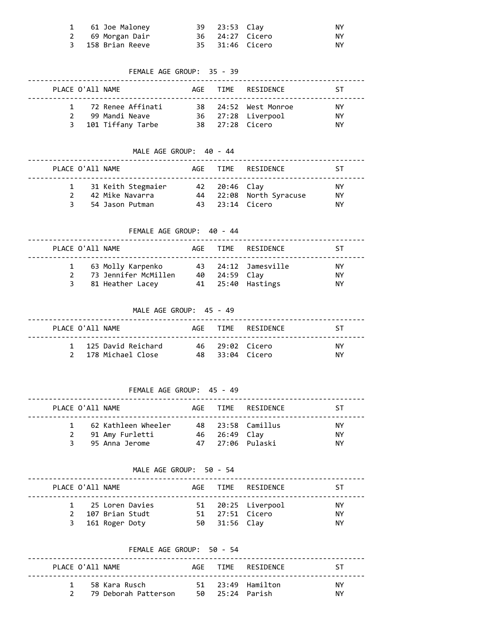| 1 61 Joe Maloney  | 39 23:53 Clay |                 | ΝY   |
|-------------------|---------------|-----------------|------|
| 2 69 Morgan Dair  |               | 36 24:27 Cicero | NY . |
| 3 158 Brian Reeve |               | 35 31:46 Cicero | NY . |

FEMALE AGE GROUP: 35 - 39

| PLACE O'All NAME |                                                              |  | AGE TIME RESIDENCE                                            | ST.             |
|------------------|--------------------------------------------------------------|--|---------------------------------------------------------------|-----------------|
| $\mathcal{P}$    | 1 72 Renee Affinati<br>99 Mandi Neave<br>3 101 Tiffany Tarbe |  | 38 24:52 West Monroe<br>36 27:28 Liverpool<br>38 27:28 Cicero | ΝY<br>ΝY<br>NY. |

MALE AGE GROUP: 40 - 44

| PLACE O'All NAME |                                                          |               | AGE TIME RESIDENCE                         | ST.            |
|------------------|----------------------------------------------------------|---------------|--------------------------------------------|----------------|
| २                | 31 Keith Stegmaier<br>42 Mike Navarra<br>54 Jason Putman | 42 20:46 Clay | 44 22:08 North Syracuse<br>43 23:14 Cicero | ΝY<br>ΝY<br>ΝY |

FEMALE AGE GROUP: 40 - 44

| PLACE O'All NAME |                                                                     |               | AGF TIME RESIDENCE                         | -ST             |
|------------------|---------------------------------------------------------------------|---------------|--------------------------------------------|-----------------|
|                  | 1 63 Molly Karpenko<br>2 73 Jennifer McMillen<br>3 81 Heather Lacey | 40 24:59 Clay | 43 24:12 Jamesville<br>41  25:40  Hastings | NY.<br>ΝY<br>NΥ |

MALE AGE GROUP: 45 - 49

| PLACE O'A11 NAME |                                             |                 | AGF TIME RESIDENCE | ΝТ.       |
|------------------|---------------------------------------------|-----------------|--------------------|-----------|
|                  | 1 125 David Reichard<br>2 178 Michael Close | 48 33:04 Cicero | 46 29:02 Cicero    | NY.<br>ΝY |

FEMALE AGE GROUP: 45 - 49

| PLACE O'All NAME |                                                              |               | AGF TIME RESIDENCE                    | ST.                    |
|------------------|--------------------------------------------------------------|---------------|---------------------------------------|------------------------|
| २                | 1 62 Kathleen Wheeler<br>2 91 Amy Furletti<br>95 Anna Jerome | 46 26:49 Clay | 48 23:58 Camillus<br>47 27:06 Pulaski | NY.<br><b>NY</b><br>NΥ |

MALE AGE GROUP: 50 - 54

| PLACE O'All NAME |                                                            |                                  | AGE TIME RESIDENCE | ST.                   |
|------------------|------------------------------------------------------------|----------------------------------|--------------------|-----------------------|
|                  | 1 25 Loren Davies<br>2 107 Brian Studt<br>3 161 Roger Doty | 51 27:51 Cicero<br>50 31:56 Clay | 51 20:25 Liverpool | <b>NY</b><br>ΝY<br>NΥ |

|                  | FEMALE AGE GROUP: 50 - 54             |                 |                    |           |
|------------------|---------------------------------------|-----------------|--------------------|-----------|
| PLACE O'All NAME |                                       |                 | AGE TIME RESIDENCE | ST.       |
| $\mathbf{1}$     | 58 Kara Rusch<br>79 Deborah Patterson | 50 25:24 Parish | 51 23:49 Hamilton  | NY.<br>ΝY |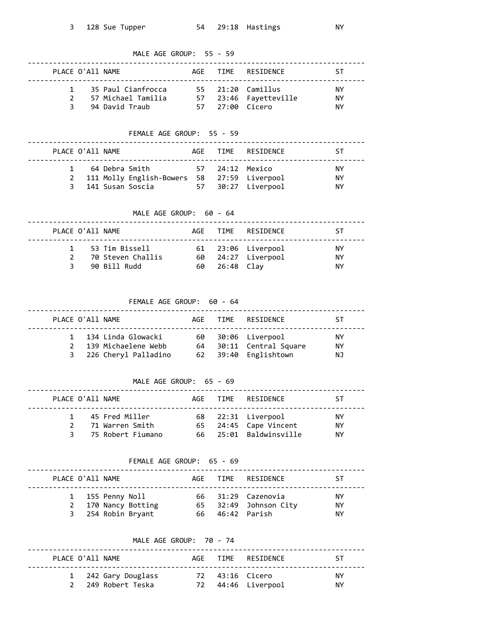| MALE AGE GROUP: 55 - 59<br>----------                            |                  |                                                          |     |                        |                                       |           |  |  |
|------------------------------------------------------------------|------------------|----------------------------------------------------------|-----|------------------------|---------------------------------------|-----------|--|--|
|                                                                  | PLACE O'All NAME |                                                          |     | AGE TIME<br>. <u>.</u> | RESIDENCE                             | ST        |  |  |
| 1                                                                |                  | 35 Paul Cianfrocca                                       |     |                        | 55   21:20  Camillus                  | NY.       |  |  |
| $\mathbf{2}$                                                     |                  |                                                          |     |                        |                                       | NY.       |  |  |
|                                                                  |                  | 3 94 David Traub 57 27:00 Cicero                         |     |                        |                                       | NY.       |  |  |
|                                                                  |                  |                                                          |     |                        |                                       |           |  |  |
| FEMALE AGE GROUP: 55 - 59                                        |                  |                                                          |     |                        |                                       |           |  |  |
|                                                                  | PLACE O'All NAME |                                                          |     |                        | AGE TIME RESIDENCE                    | ST        |  |  |
|                                                                  |                  | 1 64 Debra Smith 57 24:12 Mexico                         |     |                        |                                       | NY.       |  |  |
|                                                                  |                  | 2 111 Molly English-Bowers 58 27:59 Liverpool            |     |                        |                                       | NY.       |  |  |
|                                                                  |                  | 3 141 Susan Soscia 57 30:27 Liverpool                    |     |                        |                                       | NY.       |  |  |
|                                                                  |                  |                                                          |     |                        |                                       |           |  |  |
| MALE AGE GROUP: 60 - 64<br><u>-----------</u> .                  |                  |                                                          |     |                        |                                       |           |  |  |
|                                                                  | PLACE O'All NAME |                                                          | AGE | TIME                   | RESIDENCE                             | ST        |  |  |
|                                                                  |                  |                                                          |     |                        |                                       | NY.       |  |  |
|                                                                  |                  |                                                          |     |                        |                                       | NY.       |  |  |
|                                                                  |                  |                                                          |     |                        |                                       | NY.       |  |  |
| FEMALE AGE GROUP: 60 - 64                                        |                  |                                                          |     |                        |                                       |           |  |  |
|                                                                  |                  | PLACE O'All NAME                                         |     |                        | AGE TIME RESIDENCE                    | ST        |  |  |
|                                                                  |                  | 1 134 Linda Glowacki                                     |     |                        | 60 30:06 Liverpool                    | NY.       |  |  |
|                                                                  |                  | 2 139 Michaelene Webb 64 30:11 Central Square            |     |                        |                                       | NY.       |  |  |
|                                                                  |                  | 3 226 Cheryl Palladino 62 39:40 Englishtown              |     |                        |                                       | ΝJ        |  |  |
| MALE AGE GROUP: 65 - 69                                          |                  |                                                          |     |                        |                                       |           |  |  |
|                                                                  |                  |                                                          |     |                        |                                       |           |  |  |
|                                                                  | PLACE O'All NAME | .                                                        |     |                        | AGE TIME RESIDENCE                    | <b>ST</b> |  |  |
| 1                                                                |                  | 45 Fred Miller                                           |     |                        | 68 22:31 Liverpool                    | NY.       |  |  |
| $\mathbf{2}$                                                     |                  | 71 Warren Smith                                          |     |                        | 65 24:45 Cape Vincent                 | NY.       |  |  |
| 3                                                                |                  | 75 Robert Fiumano 66 25:01 Baldwinsville                 |     |                        |                                       | NY.       |  |  |
|                                                                  |                  |                                                          |     |                        |                                       |           |  |  |
| FEMALE AGE GROUP: 65 - 69<br>----------------------------------- |                  |                                                          |     |                        |                                       |           |  |  |
|                                                                  |                  | PLACE O'All NAME<br>------------------------------------ |     |                        | AGE TIME RESIDENCE<br>--------------- | ST        |  |  |
|                                                                  |                  | 1 155 Penny Noll                                         |     |                        | 66 31:29 Cazenovia                    | NY.       |  |  |
| $\overline{2}$                                                   |                  | 170 Nancy Botting 65 32:49 Johnson City                  |     |                        |                                       | NY.       |  |  |
| 3                                                                |                  | 254 Robin Bryant 66 46:42 Parish                         |     |                        |                                       | NY.       |  |  |
|                                                                  |                  |                                                          |     |                        |                                       |           |  |  |

MALE AGE GROUP: 70 - 74

| PLACE O'All NAME |                                           |                 | AGF TIME RESIDENCE | ST.        |
|------------------|-------------------------------------------|-----------------|--------------------|------------|
|                  | 1 242 Gary Douglass<br>2 249 Robert Teska | 72 43:16 Cicero | 72 44:46 Liverpool | NY.<br>NY. |